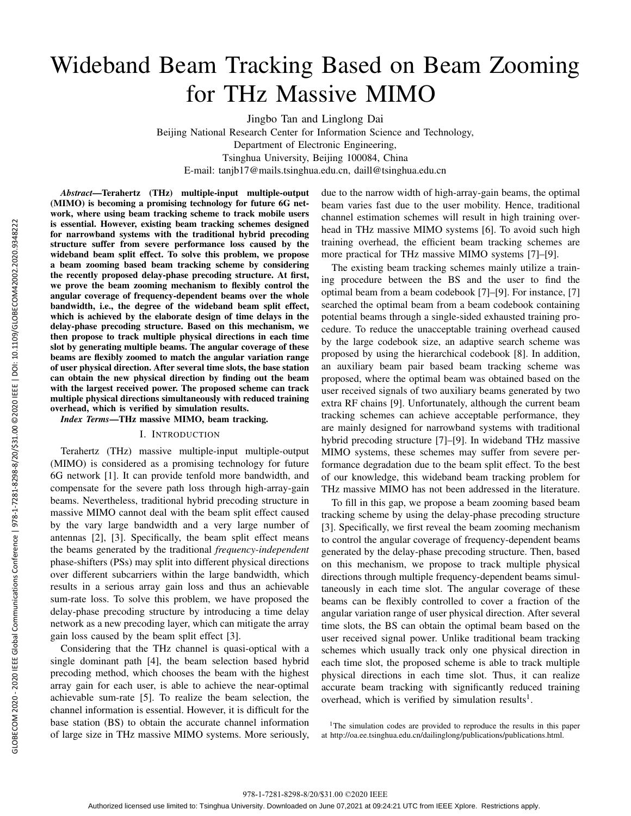# GLOBECOM 2020 - 2020 IEEE Global Communications Conference | 978-1-7281-8298-8/20/331.00 @2020 IEEE | DOI: 10.1109/GLOBECOM42002.2020.9348222 GLOBECOM 2020 - 2020 IEEE Global Communications Conference | 978-1-7281-8298-8/20/\$31.00 ©2020 IEEE | DOI: 10.1109/GLOBECOM42002.2020.9348222

# Wideband Beam Tracking Based on Beam Zooming for THz Massive MIMO

Jingbo Tan and Linglong Dai

Beijing National Research Center for Information Science and Technology,

Department of Electronic Engineering,

Tsinghua University, Beijing 100084, China

E-mail: tanjb17@mails.tsinghua.edu.cn, daill@tsinghua.edu.cn

*Abstract*—Terahertz (THz) multiple-input multiple-output (MIMO) is becoming a promising technology for future 6G network, where using beam tracking scheme to track mobile users is essential. However, existing beam tracking schemes designed for narrowband systems with the traditional hybrid precoding structure suffer from severe performance loss caused by the wideband beam split effect. To solve this problem, we propose a beam zooming based beam tracking scheme by considering the recently proposed delay-phase precoding structure. At first, we prove the beam zooming mechanism to flexibly control the angular coverage of frequency-dependent beams over the whole bandwidth, i.e., the degree of the wideband beam split effect, which is achieved by the elaborate design of time delays in the delay-phase precoding structure. Based on this mechanism, we then propose to track multiple physical directions in each time slot by generating multiple beams. The angular coverage of these beams are flexibly zoomed to match the angular variation range of user physical direction. After several time slots, the base station can obtain the new physical direction by finding out the beam with the largest received power. The proposed scheme can track multiple physical directions simultaneously with reduced training overhead, which is verified by simulation results.

*Index Terms*—THz massive MIMO, beam tracking.

# I. INTRODUCTION

Terahertz (THz) massive multiple-input multiple-output (MIMO) is considered as a promising technology for future 6G network [1]. It can provide tenfold more bandwidth, and compensate for the severe path loss through high-array-gain beams. Nevertheless, traditional hybrid precoding structure in massive MIMO cannot deal with the beam split effect caused by the vary large bandwidth and a very large number of antennas [2], [3]. Specifically, the beam split effect means the beams generated by the traditional *frequency-independent* phase-shifters (PSs) may split into different physical directions over different subcarriers within the large bandwidth, which results in a serious array gain loss and thus an achievable sum-rate loss. To solve this problem, we have proposed the delay-phase precoding structure by introducing a time delay network as a new precoding layer, which can mitigate the array gain loss caused by the beam split effect [3].

Considering that the THz channel is quasi-optical with a single dominant path [4], the beam selection based hybrid precoding method, which chooses the beam with the highest array gain for each user, is able to achieve the near-optimal achievable sum-rate [5]. To realize the beam selection, the channel information is essential. However, it is difficult for the base station (BS) to obtain the accurate channel information of large size in THz massive MIMO systems. More seriously, due to the narrow width of high-array-gain beams, the optimal beam varies fast due to the user mobility. Hence, traditional channel estimation schemes will result in high training overhead in THz massive MIMO systems [6]. To avoid such high training overhead, the efficient beam tracking schemes are more practical for THz massive MIMO systems [7]–[9].

The existing beam tracking schemes mainly utilize a training procedure between the BS and the user to find the optimal beam from a beam codebook [7]–[9]. For instance, [7] searched the optimal beam from a beam codebook containing potential beams through a single-sided exhausted training procedure. To reduce the unacceptable training overhead caused by the large codebook size, an adaptive search scheme was proposed by using the hierarchical codebook [8]. In addition, an auxiliary beam pair based beam tracking scheme was proposed, where the optimal beam was obtained based on the user received signals of two auxiliary beams generated by two extra RF chains [9]. Unfortunately, although the current beam tracking schemes can achieve acceptable performance, they are mainly designed for narrowband systems with traditional hybrid precoding structure [7]–[9]. In wideband THz massive MIMO systems, these schemes may suffer from severe performance degradation due to the beam split effect. To the best of our knowledge, this wideband beam tracking problem for THz massive MIMO has not been addressed in the literature.

To fill in this gap, we propose a beam zooming based beam tracking scheme by using the delay-phase precoding structure [3]. Specifically, we first reveal the beam zooming mechanism to control the angular coverage of frequency-dependent beams generated by the delay-phase precoding structure. Then, based on this mechanism, we propose to track multiple physical directions through multiple frequency-dependent beams simultaneously in each time slot. The angular coverage of these beams can be flexibly controlled to cover a fraction of the angular variation range of user physical direction. After several time slots, the BS can obtain the optimal beam based on the user received signal power. Unlike traditional beam tracking schemes which usually track only one physical direction in each time slot, the proposed scheme is able to track multiple physical directions in each time slot. Thus, it can realize accurate beam tracking with significantly reduced training overhead, which is verified by simulation results<sup>1</sup>.

<sup>1</sup>The simulation codes are provided to reproduce the results in this paper at http://oa.ee.tsinghua.edu.cn/dailinglong/publications/publications.html.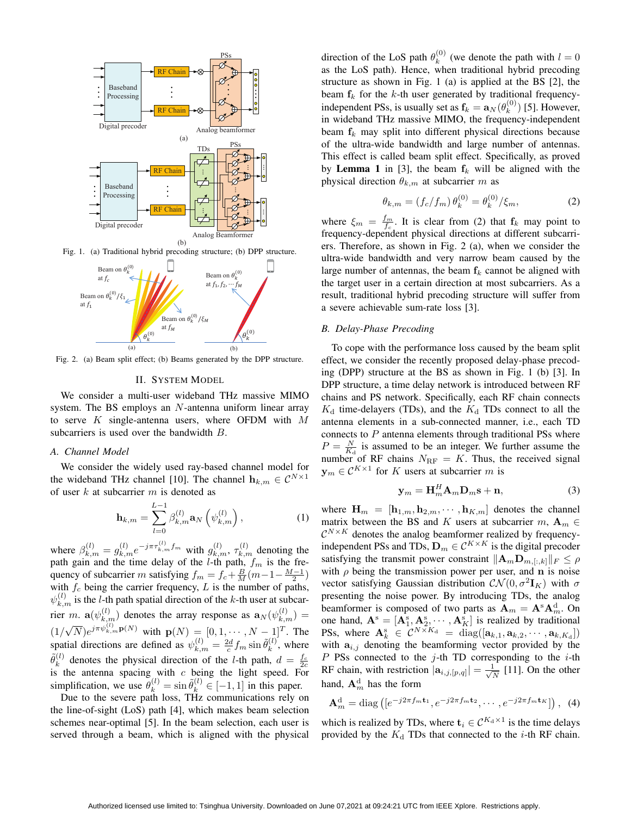

Fig. 1. (a) Traditional hybrid precoding structure; (b) DPP structure.



Fig. 2. (a) Beam split effect; (b) Beams generated by the DPP structure.

# II. SYSTEM MODEL

We consider a multi-user wideband THz massive MIMO system. The BS employs an N-antenna uniform linear array to serve  $K$  single-antenna users, where OFDM with  $M$ subcarriers is used over the bandwidth  $B$ .

# *A. Channel Model*

We consider the widely used ray-based channel model for the wideband THz channel [10]. The channel  $\mathbf{h}_{k,m} \in \mathcal{C}^{N \times 1}$ of user  $k$  at subcarrier  $m$  is denoted as

$$
\mathbf{h}_{k,m} = \sum_{l=0}^{L-1} \beta_{k,m}^{(l)} \mathbf{a}_N \left( \psi_{k,m}^{(l)} \right), \tag{1}
$$

where  $\beta_{k,m}^{(l)} = g_{k,m}^{(l)} e^{-j\pi \tau_{k,m}^{(l)} f_m}$  with  $g_{k,m}^{(l)}$ ,  $\tau_{k,m}^{(l)}$  denoting the path gain and the time delay of the *l*-th path,  $f_m$  is the frequency of subcarrier m satisfying  $f_m = f_c + \frac{B}{M}(m-1-\frac{M-1}{2})$ with  $f_c$  being the carrier frequency, L is the number of paths,  $\psi_{k,m}^{(l)}$  is the *l*-th path spatial direction of the *k*-th user at subcarrier m.  $\mathbf{a}(\psi_{k,m}^{(l)})$  denotes the array response as  $\mathbf{a}_N(\psi_{k,m}^{(l)}) =$  $(1/$ √  $(\overline{N})e^{j\pi\psi_{k,m}^{(l)}\mathbf{p}(N)}$  with  $\mathbf{p}(N) = [0,1,\cdots,N-1]^T$ . The spatial directions are defined as  $\psi_{k,m}^{(l)} = \frac{2d}{c} f_m \sin \tilde{\theta}_k^{(l)}$  $\binom{u}{k}$ , where  $\widetilde{\theta}_k^{(l)}$  $\frac{d}{dx}$  denotes the physical direction of the *l*-th path,  $d = \frac{f_c}{2c}$ is the antenna spacing with  $c$  being the light speed. For simplification, we use  $\tilde{\theta}_k^{(l)} = \sin \tilde{\theta}_k^{(l)} \in [-1, 1]$  in this paper.

Due to the severe path loss, THz communications rely on the line-of-sight (LoS) path [4], which makes beam selection schemes near-optimal [5]. In the beam selection, each user is served through a beam, which is aligned with the physical

direction of the LoS path  $\theta_k^{(0)}$  $k_k^{(0)}$  (we denote the path with  $l = 0$ as the LoS path). Hence, when traditional hybrid precoding structure as shown in Fig. 1 (a) is applied at the BS [2], the beam  $f_k$  for the k-th user generated by traditional frequencyindependent PSs, is usually set as  $f_k = a_N(\theta_k^{(0)})$  $\binom{0}{k}$  [5]. However, in wideband THz massive MIMO, the frequency-independent beam  $f_k$  may split into different physical directions because of the ultra-wide bandwidth and large number of antennas. This effect is called beam split effect. Specifically, as proved by Lemma 1 in [3], the beam  $f_k$  will be aligned with the physical direction  $\theta_{k,m}$  at subcarrier m as

$$
\theta_{k,m} = (f_c/f_m)\,\theta_k^{(0)} = \theta_k^{(0)}/\xi_m,\tag{2}
$$

where  $\xi_m = \frac{f_m}{f_c}$ . It is clear from (2) that  $f_k$  may point to frequency-dependent physical directions at different subcarriers. Therefore, as shown in Fig. 2 (a), when we consider the ultra-wide bandwidth and very narrow beam caused by the large number of antennas, the beam  $f_k$  cannot be aligned with the target user in a certain direction at most subcarriers. As a result, traditional hybrid precoding structure will suffer from a severe achievable sum-rate loss [3].

# *B. Delay-Phase Precoding*

To cope with the performance loss caused by the beam split effect, we consider the recently proposed delay-phase precoding (DPP) structure at the BS as shown in Fig. 1 (b) [3]. In DPP structure, a time delay network is introduced between RF chains and PS network. Specifically, each RF chain connects  $K_d$  time-delayers (TDs), and the  $K_d$  TDs connect to all the antenna elements in a sub-connected manner, i.e., each TD connects to  $P$  antenna elements through traditional PSs where  $P = \frac{N}{K_d}$  is assumed to be an integer. We further assume the number of RF chains  $N_{\text{RF}} = K$ . Thus, the received signal  $y_m \in C^{K \times 1}$  for K users at subcarrier m is

$$
\mathbf{y}_m = \mathbf{H}_m^H \mathbf{A}_m \mathbf{D}_m \mathbf{s} + \mathbf{n},\tag{3}
$$

where  $\mathbf{H}_m = [\mathbf{h}_{1,m}, \mathbf{h}_{2,m}, \cdots, \mathbf{h}_{K,m}]$  denotes the channel matrix between the BS and K users at subcarrier  $m, A_m \in$  $\mathcal{C}^{N\times K}$  denotes the analog beamformer realized by frequencyindependent PSs and TDs,  $\mathbf{D}_m \in \mathcal{C}^{K \times K}$  is the digital precoder satisfying the transmit power constraint  $\|\mathbf{A}_m\mathbf{D}_{m, [:,k]}\|_F \leq \rho$ with  $\rho$  being the transmission power per user, and n is noise vector satisfying Gaussian distribution  $\mathcal{CN}(0, \sigma^2 \mathbf{I}_K)$  with  $\sigma$ presenting the noise power. By introducing TDs, the analog beamformer is composed of two parts as  $\mathbf{A}_m = \mathbf{A}^s \mathbf{A}_m^d$ . On one hand,  $\mathbf{A}^s = [\mathbf{A}_1^s, \mathbf{A}_2^s, \cdots, \mathbf{A}_K^s]$  is realized by traditional PSs, where  $\mathbf{A}_k^s \in \mathcal{C}^{N \times K_d} = \text{diag}([\mathbf{a}_{k,1}, \mathbf{a}_{k,2}, \cdots, \mathbf{a}_{k,K_d}])$ with  $a_{i,j}$  denoting the beamforming vector provided by the  $P$  PSs connected to the j-th TD corresponding to the  $i$ -th RF chain, with restriction  $|\mathbf{a}_{i,j,[p,q]}| = \frac{1}{\sqrt{2}}$  $\frac{1}{\overline{N}}$  [11]. On the other hand,  ${\bf A}_m^{\rm d}$  has the form

$$
\mathbf{A}_{m}^{\mathrm{d}} = \mathrm{diag}\left([e^{-j2\pi f_m \mathbf{t}_1}, e^{-j2\pi f_m \mathbf{t}_2}, \cdots, e^{-j2\pi f_m \mathbf{t}_K}]\right), \tag{4}
$$

which is realized by TDs, where  $\mathbf{t}_i \in C^{K_d \times 1}$  is the time delays provided by the  $K_d$  TDs that connected to the *i*-th RF chain.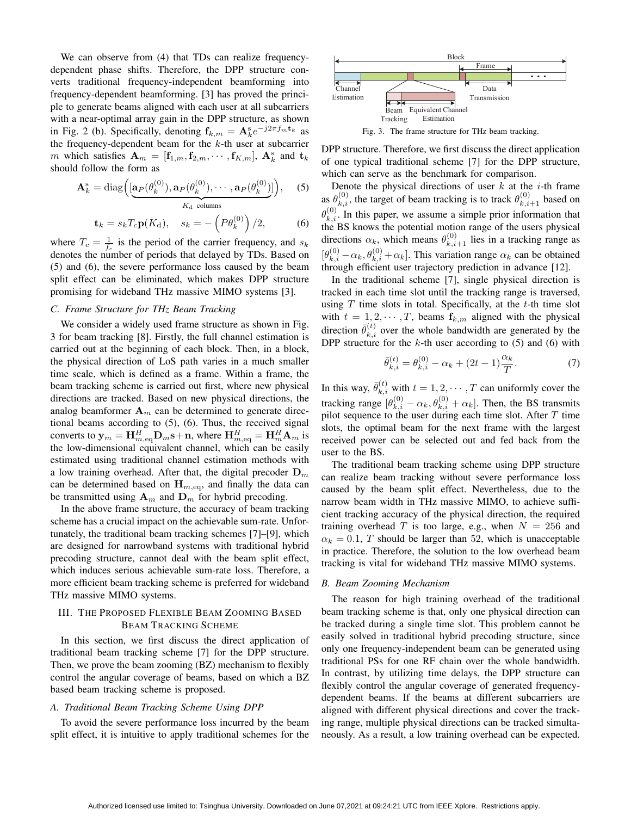We can observe from  $(4)$  that TDs can realize frequencydependent phase shifts. Therefore, the DPP structure converts traditional frequency-independent beamforming into frequency-dependent beamforming. [3] has proved the principle to generate beams aligned with each user at all subcarriers with a near-optimal array gain in the DPP structure, as shown in Fig. 2 (b). Specifically, denoting  $f_{k,m} = A_k^s e^{-j2\pi f_m t_k}$  as the frequency-dependent beam for the  $k$ -th user at subcarrier m which satisfies  $\mathbf{A}_m = [\mathbf{f}_{1,m}, \mathbf{f}_{2,m}, \cdots, \mathbf{f}_{K,m}], \mathbf{A}_k^s$  and  $\mathbf{t}_k$ should follow the form as

$$
\mathbf{A}_{k}^{\mathrm{s}} = \mathrm{diag}\Big( [\underbrace{\mathbf{a}_{P}(\theta_{k}^{(0)}), \mathbf{a}_{P}(\theta_{k}^{(0)}), \cdots, \mathbf{a}_{P}(\theta_{k}^{(0)})}_{K_{\mathrm{d}} \text{ columns}} \Big), \quad (5)
$$

$$
\mathbf{t}_k = s_k T_c \mathbf{p}(K_\mathrm{d}), \quad s_k = -\left(P\theta_k^{(0)}\right)/2,\tag{6}
$$

where  $T_c = \frac{1}{f_c}$  is the period of the carrier frequency, and  $s_k$ denotes the number of periods that delayed by TDs. Based on (5) and (6), the severe performance loss caused by the beam split effect can be eliminated, which makes DPP structure promising for wideband THz massive MIMO systems [3].

### *C. Frame Structure for THz Beam Tracking*

We consider a widely used frame structure as shown in Fig. 3 for beam tracking [8]. Firstly, the full channel estimation is carried out at the beginning of each block. Then, in a block, the physical direction of LoS path varies in a much smaller time scale, which is defined as a frame. Within a frame, the beam tracking scheme is carried out first, where new physical directions are tracked. Based on new physical directions, the analog beamformer  $A_m$  can be determined to generate directional beams according to (5), (6). Thus, the received signal converts to  $\mathbf{y}_m = \mathbf{H}_{m,\text{eq}}^H \mathbf{D}_m \mathbf{s} + \mathbf{n}$ , where  $\mathbf{H}_{m,\text{eq}}^H = \mathbf{H}_m^H \mathbf{A}_m$  is the low-dimensional equivalent channel, which can be easily estimated using traditional channel estimation methods with a low training overhead. After that, the digital precoder  $D_m$ can be determined based on  $\mathbf{H}_{m,\text{eq}}$ , and finally the data can be transmitted using  $A_m$  and  $D_m$  for hybrid precoding.

In the above frame structure, the accuracy of beam tracking scheme has a crucial impact on the achievable sum-rate. Unfortunately, the traditional beam tracking schemes [7]–[9], which are designed for narrowband systems with traditional hybrid precoding structure, cannot deal with the beam split effect, which induces serious achievable sum-rate loss. Therefore, a more efficient beam tracking scheme is preferred for wideband THz massive MIMO systems.

# III. THE PROPOSED FLEXIBLE BEAM ZOOMING BASED BEAM TRACKING SCHEME

In this section, we first discuss the direct application of traditional beam tracking scheme [7] for the DPP structure. Then, we prove the beam zooming (BZ) mechanism to flexibly control the angular coverage of beams, based on which a BZ based beam tracking scheme is proposed.

# *A. Traditional Beam Tracking Scheme Using DPP*

To avoid the severe performance loss incurred by the beam split effect, it is intuitive to apply traditional schemes for the



Fig. 3. The frame structure for THz beam tracking.

DPP structure. Therefore, we first discuss the direct application of one typical traditional scheme [7] for the DPP structure, which can serve as the benchmark for comparison.

Denote the physical directions of user  $k$  at the  $i$ -th frame as  $\theta_{k,i}^{(0)}$ , the target of beam tracking is to track  $\theta_{k,i+1}^{(0)}$  based on  $\theta_{k,i}^{(0)}$ . In this paper, we assume a simple prior information that the BS knows the potential motion range of the users physical directions  $\alpha_k$ , which means  $\theta_{k,i+1}^{(0)}$  lies in a tracking range as  $[\theta_{k,i}^{(0)} - \alpha_k, \theta_{k,i}^{(0)} + \alpha_k]$ . This variation range  $\alpha_k$  can be obtained through efficient user trajectory prediction in advance [12].

In the traditional scheme [7], single physical direction is tracked in each time slot until the tracking range is traversed, using  $T$  time slots in total. Specifically, at the  $t$ -th time slot with  $t = 1, 2, \dots, T$ , beams  $\mathbf{f}_{k,m}$  aligned with the physical direction  $\bar{\theta}_{k,i}^{(t)}$  over the whole bandwidth are generated by the DPP structure for the  $k$ -th user according to (5) and (6) with

$$
\bar{\theta}_{k,i}^{(t)} = \theta_{k,i}^{(0)} - \alpha_k + (2t - 1)\frac{\alpha_k}{T}.\tag{7}
$$

In this way,  $\bar{\theta}_{k,i}^{(t)}$  with  $t = 1, 2, \cdots, T$  can uniformly cover the tracking range  $[\theta_{k,i}^{(0)} - \alpha_k, \theta_{k,i}^{(0)} + \alpha_k]$ . Then, the BS transmits pilot sequence to the user during each time slot. After  $T$  time slots, the optimal beam for the next frame with the largest received power can be selected out and fed back from the user to the BS.

The traditional beam tracking scheme using DPP structure can realize beam tracking without severe performance loss caused by the beam split effect. Nevertheless, due to the narrow beam width in THz massive MIMO, to achieve sufficient tracking accuracy of the physical direction, the required training overhead T is too large, e.g., when  $N = 256$  and  $\alpha_k = 0.1$ , T should be larger than 52, which is unacceptable in practice. Therefore, the solution to the low overhead beam tracking is vital for wideband THz massive MIMO systems.

### *B. Beam Zooming Mechanism*

The reason for high training overhead of the traditional beam tracking scheme is that, only one physical direction can be tracked during a single time slot. This problem cannot be easily solved in traditional hybrid precoding structure, since only one frequency-independent beam can be generated using traditional PSs for one RF chain over the whole bandwidth. In contrast, by utilizing time delays, the DPP structure can flexibly control the angular coverage of generated frequencydependent beams. If the beams at different subcarriers are aligned with different physical directions and cover the tracking range, multiple physical directions can be tracked simultaneously. As a result, a low training overhead can be expected.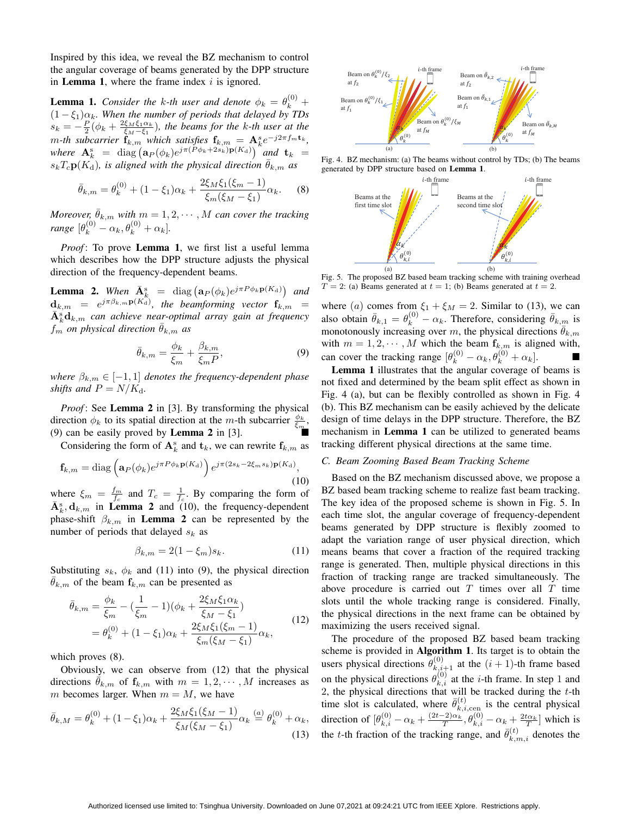Inspired by this idea, we reveal the BZ mechanism to control the angular coverage of beams generated by the DPP structure in **Lemma 1**, where the frame index  $i$  is ignored.

**Lemma 1.** *Consider the k-th user and denote*  $\phi_k = \theta_k^{(0)}$  +  $(1 - \xi_1)\alpha_k$ . When the number of periods that delayed by TDs  $s_k = -\frac{P}{2}(\phi_k + \frac{2\xi_M\xi_1\alpha_k}{\xi_M-\xi_1})$ , the beams for the k-th user at the *m*-th subcarrier  $\mathbf{f}_{k,m}$  which satisfies  $\mathbf{f}_{k,m} = \mathbf{A}_k^s e^{-j2\pi f_m t_k}$ , where  $\mathbf{A}_k^{\rm s}$  = diag  $(a_P(\phi_k)e^{j\pi(P\phi_k+2s_k)\mathbf{p}(K_d)})$  and  $\mathbf{t}_k$  =  $s_kT_c\mathbf{p}(K_d)$ *, is aligned with the physical direction*  $\theta_{k,m}$  *as* 

$$
\bar{\theta}_{k,m} = \theta_k^{(0)} + (1 - \xi_1)\alpha_k + \frac{2\xi_M\xi_1(\xi_m - 1)}{\xi_m(\xi_M - \xi_1)}\alpha_k.
$$
 (8)

*Moreover,*  $\bar{\theta}_{k,m}$  *with*  $m = 1, 2, \cdots, M$  *can cover the tracking range*  $[\theta_k^{(0)} - \alpha_k, \theta_k^{(0)} + \alpha_k]$ .

*Proof*: To prove **Lemma 1**, we first list a useful lemma which describes how the DPP structure adjusts the physical direction of the frequency-dependent beams.

**Lemma 2.** When  $\bar{A}_{k}^{s}$  = diag  $(a_P(\phi_k)e^{j\pi P \phi_k p(K_d)})$  and  **=**  $e^{j\pi\beta_{k,m}\mathbf{p}(K_{\mathrm{d}})}$ **, the beamforming vector**  $**f**_{k,m}$  **=**  $\bar{\mathbf{A}}_k^{\rm s} \mathbf{d}_{k,m}$  can achieve near-optimal array gain at frequency  $f_m$  *on physical direction*  $\bar{\theta}_{k,m}$  *as* 

$$
\bar{\theta}_{k,m} = \frac{\phi_k}{\xi_m} + \frac{\beta_{k,m}}{\xi_m P},\tag{9}
$$

*where*  $\beta_{k,m} \in [-1,1]$  *denotes the frequency-dependent phase shifts and*  $P = N/K_d$ .

*Proof*: See **Lemma 2** in [3]. By transforming the physical direction  $\phi_k$  to its spatial direction at the m-th subcarrier  $\frac{\phi_k}{\xi_m}$ , (9) can be easily proved by **Lemma 2** in  $[3]$ .

Considering the form of  $A_k^s$  and  $t_k$ , we can rewrite  $f_{k,m}$  as

$$
\mathbf{f}_{k,m} = \text{diag}\left(\mathbf{a}_P(\phi_k)e^{j\pi P\phi_k \mathbf{p}(K_{\rm d})}\right)e^{j\pi (2s_k - 2\xi_m s_k)\mathbf{p}(K_{\rm d})},\tag{10}
$$

where  $\xi_m = \frac{f_m}{f_c}$  and  $T_c = \frac{1}{f_c}$ . By comparing the form of  $\bar{\mathbf{A}}_k^s$ ,  $\mathbf{d}_{k,m}$  in **Lemma 2** and (10), the frequency-dependent phase-shift  $\beta_{k,m}$  in **Lemma 2** can be represented by the number of periods that delayed  $s_k$  as

$$
\beta_{k,m} = 2(1 - \xi_m)s_k.
$$
 (11)

Substituting  $s_k$ ,  $\phi_k$  and (11) into (9), the physical direction  $\bar{\theta}_{k,m}$  of the beam  $f_{k,m}$  can be presented as

$$
\bar{\theta}_{k,m} = \frac{\phi_k}{\xi_m} - \left(\frac{1}{\xi_m} - 1\right)(\phi_k + \frac{2\xi_M\xi_1\alpha_k}{\xi_M - \xi_1})
$$
  
=  $\theta_k^{(0)} + (1 - \xi_1)\alpha_k + \frac{2\xi_M\xi_1(\xi_m - 1)}{\xi_m(\xi_M - \xi_1)}\alpha_k,$  (12)

which proves (8).

Obviously, we can observe from (12) that the physical directions  $\bar{\theta}_{k,m}$  of  $\mathbf{f}_{k,m}$  with  $m = 1, 2, \cdots, M$  increases as m becomes larger. When  $m = M$ , we have

$$
\bar{\theta}_{k,M} = \theta_k^{(0)} + (1 - \xi_1)\alpha_k + \frac{2\xi_M\xi_1(\xi_M - 1)}{\xi_M(\xi_M - \xi_1)}\alpha_k \stackrel{(a)}{=} \theta_k^{(0)} + \alpha_k,
$$
\n(13)



Fig. 4. BZ mechanism: (a) The beams without control by TDs; (b) The beams generated by DPP structure based on Lemma 1.



Fig. 5. The proposed BZ based beam tracking scheme with training overhead  $T = 2$ : (a) Beams generated at  $t = 1$ ; (b) Beams generated at  $t = 2$ .

where (a) comes from  $\xi_1 + \xi_M = 2$ . Similar to (13), we can also obtain  $\bar{\theta}_{k,1} = \theta_k^{(0)} - \alpha_k$ . Therefore, considering  $\bar{\theta}_{k,m}$  is monotonously increasing over m, the physical directions  $\bar{\theta}_{k,m}$ with  $m = 1, 2, \dots, M$  which the beam  $f_{k,m}$  is aligned with, can cover the tracking range  $[\theta_k^{(0)} - \alpha_k, \theta_k^{(0)} + \alpha_k]$ .

Lemma 1 illustrates that the angular coverage of beams is not fixed and determined by the beam split effect as shown in Fig. 4 (a), but can be flexibly controlled as shown in Fig. 4 (b). This BZ mechanism can be easily achieved by the delicate design of time delays in the DPP structure. Therefore, the BZ mechanism in **Lemma 1** can be utilized to generated beams tracking different physical directions at the same time.

### *C. Beam Zooming Based Beam Tracking Scheme*

Based on the BZ mechanism discussed above, we propose a BZ based beam tracking scheme to realize fast beam tracking. The key idea of the proposed scheme is shown in Fig. 5. In each time slot, the angular coverage of frequency-dependent beams generated by DPP structure is flexibly zoomed to adapt the variation range of user physical direction, which means beams that cover a fraction of the required tracking range is generated. Then, multiple physical directions in this fraction of tracking range are tracked simultaneously. The above procedure is carried out  $T$  times over all  $T$  time slots until the whole tracking range is considered. Finally, the physical directions in the next frame can be obtained by maximizing the users received signal.

The procedure of the proposed BZ based beam tracking scheme is provided in Algorithm 1. Its target is to obtain the users physical directions  $\theta_{k,i+1}^{(0)}$  at the  $(i + 1)$ -th frame based on the physical directions  $\theta_{k,i}^{(0)}$  at the *i*-th frame. In step 1 and 2, the physical directions that will be tracked during the  $t$ -th time slot is calculated, where  $\bar{\theta}_{k,i,\text{cen}}^{(t)}$  is the central physical direction of  $[\theta_{k,i}^{(0)} - \alpha_k + \frac{(2t-2)\alpha_k}{T}, \theta_{k,i}^{(0)} - \alpha_k + \frac{2t\alpha_k}{T}]$  which is the t-th fraction of the tracking range, and  $\bar{\theta}_{k,m,i}^{(t)}$  denotes the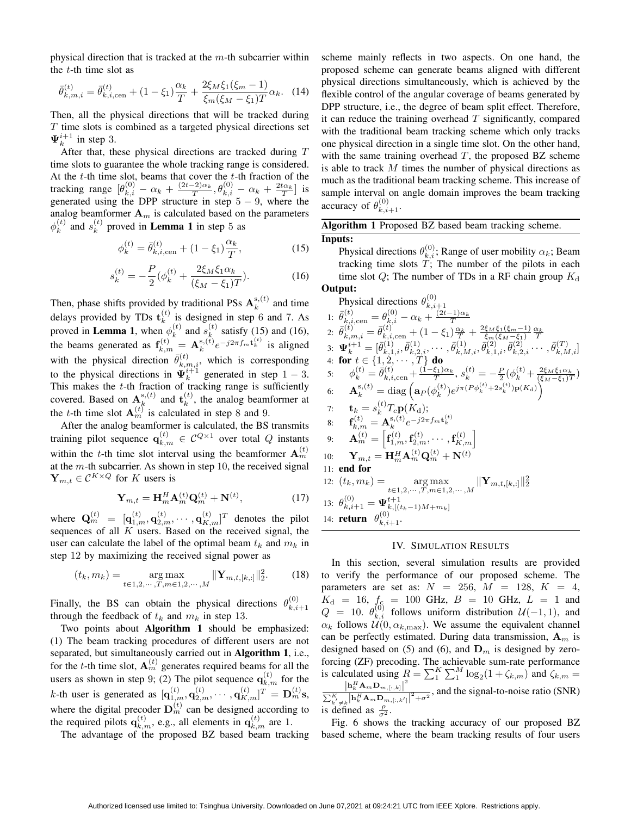physical direction that is tracked at the  $m$ -th subcarrier within the  $t$ -th time slot as

$$
\bar{\theta}_{k,m,i}^{(t)} = \bar{\theta}_{k,i,\text{cen}}^{(t)} + (1 - \xi_1) \frac{\alpha_k}{T} + \frac{2\xi_M \xi_1 (\xi_m - 1)}{\xi_m (\xi_M - \xi_1) T} \alpha_k. \tag{14}
$$

Then, all the physical directions that will be tracked during T time slots is combined as a targeted physical directions set  $\Psi_k^{i+1}$  in step 3.

After that, these physical directions are tracked during  $T$ time slots to guarantee the whole tracking range is considered. At the  $t$ -th time slot, beams that cover the  $t$ -th fraction of the tracking range  $[\theta_{k,i}^{(0)} - \alpha_k + \frac{(2t-2)\alpha_k}{T}, \theta_{k,i}^{(0)} - \alpha_k + \frac{2t\alpha_k}{T}]$  is generated using the DPP structure in step  $5 - 9$ , where the analog beamformer  $A_m$  is calculated based on the parameters  $\phi_k^{(t)}$  $\binom{t}{k}$  and  $s_k^{(t)}$  $\kappa^{(t)}$  proved in **Lemma 1** in step 5 as

$$
\phi_k^{(t)} = \bar{\theta}_{k,i,\text{cen}}^{(t)} + (1 - \xi_1) \frac{\alpha_k}{T},\tag{15}
$$

$$
s_k^{(t)} = -\frac{P}{2} \left( \phi_k^{(t)} + \frac{2\xi_M \xi_1 \alpha_k}{(\xi_M - \xi_1)T} \right). \tag{16}
$$

Then, phase shifts provided by traditional PSs  $A_k^{\mathrm{s},(t)}$  $k^{s,(t)}$  and time delays provided by TDs  $\mathbf{t}_k^{(t)}$  $\binom{t}{k}$  is designed in step 6 and 7. As proved in **Lemma 1**, when  $\phi_k^{(t)}$  $\binom{t}{k}$  and  $s_k^{(t)}$  $\binom{k}{k}$  satisfy (15) and (16), the beams generated as  $f_{k,m}^{(t)} = A_k^{\mathrm{s},(t)}$  $e^{i(k)}e^{-j2\pi f_m t_k^{(t)}}$  is aligned with the physical direction  $\bar{\theta}_{k,m,i}^{(t)}$ , which is corresponding to the physical directions in  $\Psi_k^{i+1}$  generated in step 1 – 3. This makes the  $t$ -th fraction of tracking range is sufficiently covered. Based on  $A_k^{s,(t)}$  $\mathbf{r}_k^{(t)}$  and  $\mathbf{t}_k^{(t)}$  $k^{(t)}$ , the analog beamformer at the *t*-th time slot  $A_m^{(t)}$  is calculated in step 8 and 9.

After the analog beamformer is calculated, the BS transmits training pilot sequence  $\mathbf{q}_{k,m}^{(t)} \in \mathcal{C}^{Q \times 1}$  over total  $Q$  instants within the t-th time slot interval using the beamformer  $A_m^{(t)}$ at the  $m$ -th subcarrier. As shown in step 10, the received signal  $\mathbf{Y}_{m,t} \in \mathcal{C}^{K \times Q}$  for K users is

$$
\mathbf{Y}_{m,t} = \mathbf{H}_m^H \mathbf{A}_m^{(t)} \mathbf{Q}_m^{(t)} + \mathbf{N}^{(t)},\tag{17}
$$

where  $\mathbf{Q}^{(t)}_{m}$  =  $[\mathbf{q}^{(t)}_{1,m},\mathbf{q}^{(t)}_{2,m},\cdots,\mathbf{q}^{(t)}_{K,m}]^T$  denotes the pilot sequences of all  $K$  users. Based on the received signal, the user can calculate the label of the optimal beam  $t_k$  and  $m_k$  in step 12 by maximizing the received signal power as

$$
(t_k, m_k) = \underset{t \in 1, 2, \cdots, T, m \in 1, 2, \cdots, M}{\arg \max} \|\mathbf{Y}_{m, t, [k, :]} \|_{2}^{2}.
$$
 (18)

Finally, the BS can obtain the physical directions  $\theta_{k,i}^{(0)}$  $k,i+1$ through the feedback of  $t_k$  and  $m_k$  in step 13.

Two points about Algorithm 1 should be emphasized: (1) The beam tracking procedures of different users are not separated, but simultaneously carried out in Algorithm 1, i.e., for the *t*-th time slot,  $A_m^{(t)}$  generates required beams for all the users as shown in step 9; (2) The pilot sequence  $\mathbf{q}_{k,m}^{(t)}$  for the k-th user is generated as  $[\mathbf{q}_{1,m}^{(t)}, \mathbf{q}_{2,m}^{(t)}, \cdots, \mathbf{q}_{K,m}^{(t)}]^T = \mathbf{D}_m^{(t)}$ s, where the digital precoder  $\mathbf{D}_m^{(t)}$  can be designed according to the required pilots  $\mathbf{q}_{k,m}^{(t)}$ , e.g., all elements in  $\mathbf{q}_{k,m}^{(t)}$  are 1.

The advantage of the proposed BZ based beam tracking

scheme mainly reflects in two aspects. On one hand, the proposed scheme can generate beams aligned with different physical directions simultaneously, which is achieved by the flexible control of the angular coverage of beams generated by DPP structure, i.e., the degree of beam split effect. Therefore, it can reduce the training overhead  $T$  significantly, compared with the traditional beam tracking scheme which only tracks one physical direction in a single time slot. On the other hand, with the same training overhead  $T$ , the proposed BZ scheme is able to track M times the number of physical directions as much as the traditional beam tracking scheme. This increase of sample interval on angle domain improves the beam tracking accuracy of  $\theta_{k,i+1}^{(0)}$ .

| <b>Algorithm 1</b> Proposed BZ based beam tracking scheme.                          |
|-------------------------------------------------------------------------------------|
| Inputs:                                                                             |
| Physical directions $\theta_{k,i}^{(0)}$ ; Range of user mobility $\alpha_k$ ; Beam |

tracking time slots  $T$ ; The number of the pilots in each time slot  $Q$ ; The number of TDs in a RF chain group  $K_d$ Output:  $(0)$ 

Physical directions 
$$
\theta_{k,i+1}^{(0)}
$$
  
\n1:  $\bar{\theta}_{k,i,cen}^{(t)} = \theta_{k,i}^{(0)} - \alpha_k + \frac{(2t-1)\alpha_k}{T}$   
\n2:  $\bar{\theta}_{k,m,i}^{(t)} = \bar{\theta}_{k,i,cen}^{(t)} + (1 - \xi_1) \frac{\alpha_k}{T} + \frac{2\xi_M\xi_1(\xi_m - 1)}{\xi_m(\xi_M - \xi_1)} \frac{\alpha_k}{T}$   
\n3:  $\Psi_k^{i+1} = [\bar{\theta}_{k,1,i}^{(1)}, \bar{\theta}_{k,2,i}^{(1)}, \dots, \bar{\theta}_{k,M,i}^{(1)}, \bar{\theta}_{k,1,i}^{(2)}, \bar{\theta}_{k,2,i}^{(2)}, \dots, \bar{\theta}_{k,M,i}^{(T)}]$   
\n4: **for**  $t \in \{1, 2, \dots, T\}$  **do**  
\n5:  $\phi_k^{(t)} = \bar{\theta}_{k,i,cen}^{(t)} + \frac{(1 - \xi_1)\alpha_k}{T}, s_k^{(t)} = -\frac{P}{2}(\phi_k^{(t)} + \frac{2\xi_M\xi_1\alpha_k}{(\xi_M - \xi_1)T})$   
\n6:  $\mathbf{A}_k^{s,(t)} = \text{diag}\left(\mathbf{a}_P(\phi_k^{(t)})e^{j\pi(P\phi_k^{(t)} + 2s_k^{(t)})}\mathbf{p}(K_d)\right)$   
\n7:  $\mathbf{t}_k = s_k^{(t)}T_c\mathbf{p}(K_d)$ ;  
\n8:  $\mathbf{f}_{k,m}^{(t)} = \mathbf{A}_k^{s,(t)}e^{-j2\pi f_m\mathbf{t}_k^{(t)}}$   
\n9:  $\mathbf{A}_m^{(t)} = \begin{bmatrix} \mathbf{f}_{1,m}^{(t)}, \mathbf{f}_{2,m}^{(t)}, \dots, \mathbf{f}_{K,m}^{(t)} \end{bmatrix}$   
\n10:  $\mathbf{Y}_{m,t} = \mathbf{H}_m^H \mathbf{A}_m^{(t)} \mathbf{Q}_m^{(t)} + \mathbf{N}^{(t)}$   
\n11: **end for**  
\n12:  $(t_k, m_k) = \mathop{\arg\max}_{t \in 1, 2, \dots, T, m \in 1$ 

### IV. SIMULATION RESULTS

In this section, several simulation results are provided to verify the performance of our proposed scheme. The parameters are set as:  $N = 256$ ,  $M = 128$ ,  $K = 4$ ,  $K_{\rm d}$  = 16,  $f_{\rm c}$  = 100 GHz,  $B$  = 10 GHz,  $L$  = 1 and  $Q = 10$ .  $\theta_{k,i}^{(0)}$  follows uniform distribution  $\mathcal{U}(-1,1)$ , and  $\alpha_k$  follows  $\mathcal{U}(0, \alpha_{k,\text{max}})$ . We assume the equivalent channel can be perfectly estimated. During data transmission,  $A_m$  is designed based on (5) and (6), and  $D_m$  is designed by zeroforcing (ZF) precoding. The achievable sum-rate performance is calculated using  $R = \sum_{1}^{K} \sum_{1}^{M} \log_2(1 + \zeta_{k,m})$  and  $\zeta_{k,m} =$  ${\left| {{\bf{h}}_k^H{\bf{A}}_m{\bf{D}}_{m,\left[ { \cdot ,k} \right]}} \right|^2}$  $\frac{|h_k R m D_{m,[1,k]}|}{\sum_{k'=k}^{K} |h_k^H A_m D_{m,[1,k']}|^2 + \sigma^2}$ , and the signal-to-noise ratio (SNR) is defined as  $\frac{\rho}{\sigma^2}$ .

Fig. 6 shows the tracking accuracy of our proposed BZ based scheme, where the beam tracking results of four users